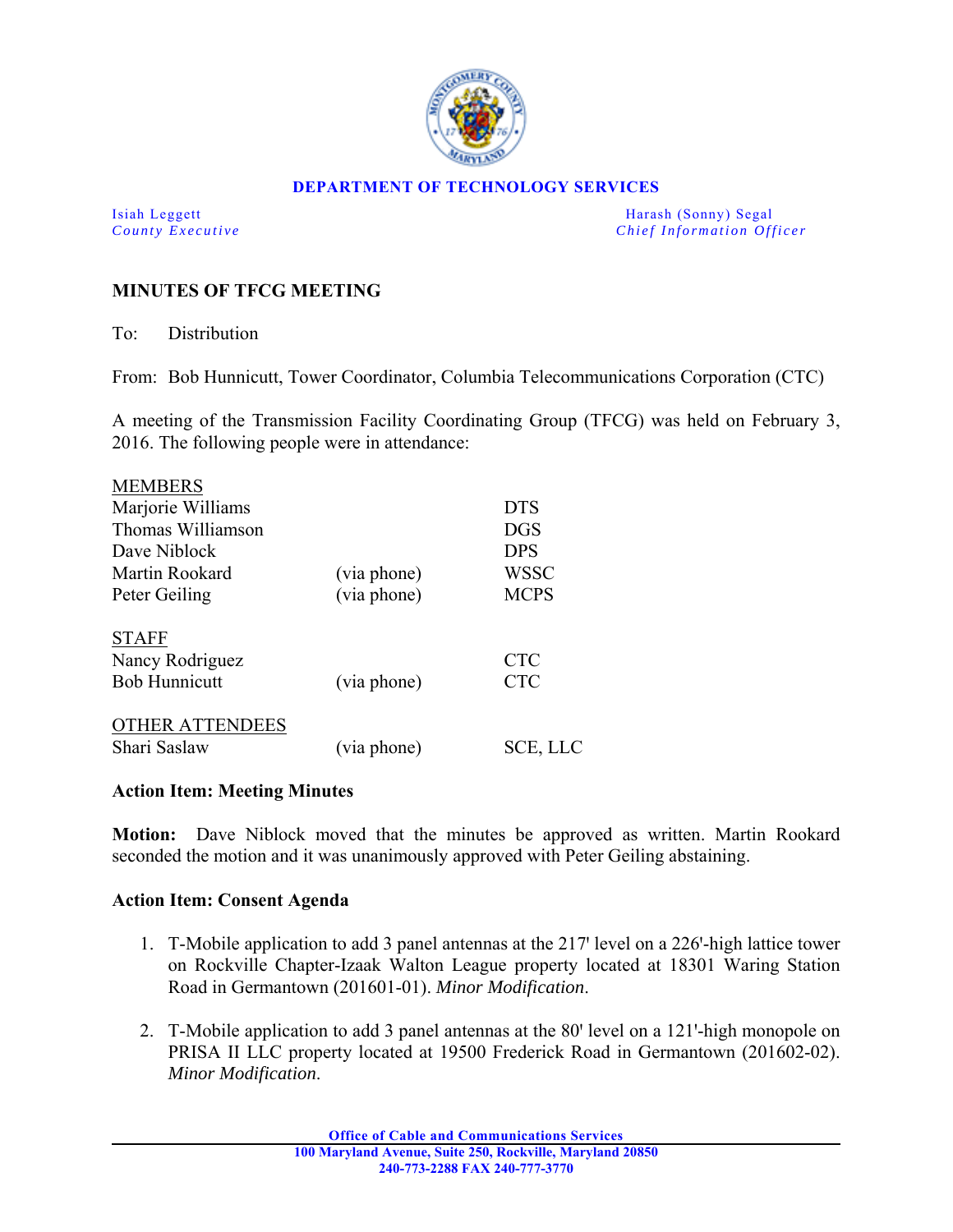

## **DEPARTMENT OF TECHNOLOGY SERVICES**

Isiah Leggett Harash (Sonny) Segal *County Executive* **County Executive Chief Information Officer** 

## **MINUTES OF TFCG MEETING**

To: Distribution

From: Bob Hunnicutt, Tower Coordinator, Columbia Telecommunications Corporation (CTC)

A meeting of the Transmission Facility Coordinating Group (TFCG) was held on February 3, 2016. The following people were in attendance:

| <b>MEMBERS</b>         |             |             |
|------------------------|-------------|-------------|
| Marjorie Williams      |             | <b>DTS</b>  |
| Thomas Williamson      |             | <b>DGS</b>  |
| Dave Niblock           |             | <b>DPS</b>  |
| Martin Rookard         | (via phone) | WSSC        |
| Peter Geiling          | (via phone) | <b>MCPS</b> |
| <b>STAFF</b>           |             |             |
| Nancy Rodriguez        |             | <b>CTC</b>  |
| <b>Bob Hunnicutt</b>   | (via phone) | <b>CTC</b>  |
| <b>OTHER ATTENDEES</b> |             |             |
| Shari Saslaw           | (via phone) | SCE, LLC    |

## **Action Item: Meeting Minutes**

**Motion:** Dave Niblock moved that the minutes be approved as written. Martin Rookard seconded the motion and it was unanimously approved with Peter Geiling abstaining.

## **Action Item: Consent Agenda**

- 1. T-Mobile application to add 3 panel antennas at the 217' level on a 226'-high lattice tower on Rockville Chapter-Izaak Walton League property located at 18301 Waring Station Road in Germantown (201601-01). *Minor Modification*.
- 2. T-Mobile application to add 3 panel antennas at the 80' level on a 121'-high monopole on PRISA II LLC property located at 19500 Frederick Road in Germantown (201602-02). *Minor Modification*.